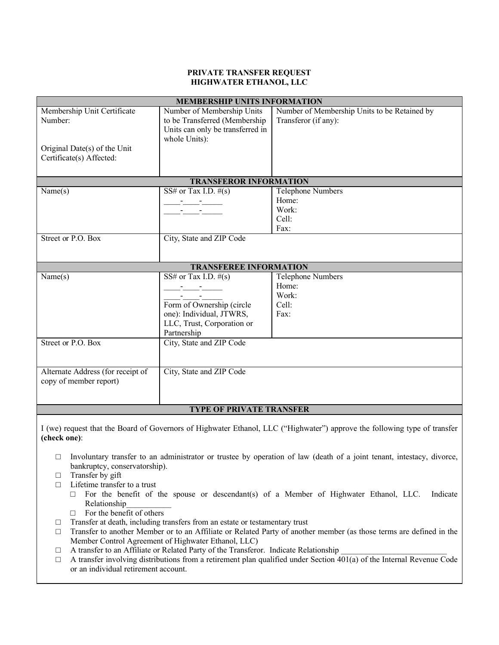#### **PRIVATE TRANSFER REQUEST HIGHWATER ETHANOL, LLC**

| <b>MEMBERSHIP UNITS INFORMATION</b> |                                                                                                                      |                                              |  |  |
|-------------------------------------|----------------------------------------------------------------------------------------------------------------------|----------------------------------------------|--|--|
| Membership Unit Certificate         | Number of Membership Units                                                                                           | Number of Membership Units to be Retained by |  |  |
| Number:                             | to be Transferred (Membership                                                                                        | Transferor (if any):                         |  |  |
|                                     | Units can only be transferred in                                                                                     |                                              |  |  |
|                                     | whole Units):                                                                                                        |                                              |  |  |
| Original Date(s) of the Unit        |                                                                                                                      |                                              |  |  |
| Certificate(s) Affected:            |                                                                                                                      |                                              |  |  |
|                                     |                                                                                                                      |                                              |  |  |
| <b>TRANSFEROR INFORMATION</b>       |                                                                                                                      |                                              |  |  |
| Name(s)                             | SS# or Tax I.D. $#(s)$                                                                                               | Telephone Numbers                            |  |  |
|                                     | <u> 1999 - 1999 - 1999 - 1999 - 1999 - 1999 - 1999 - 1999 - 1999 - 1999 - 1999 - 1999 - 1999 - 1999 - 1999 - 199</u> | Home:                                        |  |  |
|                                     |                                                                                                                      | Work:                                        |  |  |
|                                     |                                                                                                                      | Cell:                                        |  |  |
|                                     |                                                                                                                      | Fax:                                         |  |  |
| Street or P.O. Box                  | City, State and ZIP Code                                                                                             |                                              |  |  |
|                                     |                                                                                                                      |                                              |  |  |
|                                     |                                                                                                                      |                                              |  |  |
| <b>TRANSFEREE INFORMATION</b>       |                                                                                                                      |                                              |  |  |
| Name(s)                             | SS# or Tax I.D. $#(s)$                                                                                               | Telephone Numbers                            |  |  |
|                                     |                                                                                                                      | Home:                                        |  |  |
|                                     |                                                                                                                      | Work:                                        |  |  |
|                                     | Form of Ownership (circle                                                                                            | Cell:                                        |  |  |
|                                     | one): Individual, JTWRS,                                                                                             | Fax:                                         |  |  |
|                                     | LLC, Trust, Corporation or                                                                                           |                                              |  |  |
|                                     | Partnership                                                                                                          |                                              |  |  |
| Street or P.O. Box                  | City, State and ZIP Code                                                                                             |                                              |  |  |
|                                     |                                                                                                                      |                                              |  |  |
|                                     |                                                                                                                      |                                              |  |  |
| Alternate Address (for receipt of   | City, State and ZIP Code                                                                                             |                                              |  |  |
| copy of member report)              |                                                                                                                      |                                              |  |  |
|                                     |                                                                                                                      |                                              |  |  |
|                                     |                                                                                                                      |                                              |  |  |
| <b>TYPE OF PRIVATE TRANSFER</b>     |                                                                                                                      |                                              |  |  |
|                                     |                                                                                                                      |                                              |  |  |

I (we) request that the Board of Governors of Highwater Ethanol, LLC ("Highwater") approve the following type of transfer **(check one)**:

- □ Involuntary transfer to an administrator or trustee by operation of law (death of a joint tenant, intestacy, divorce, bankruptcy, conservatorship).
- □ Transfer by gift
- □ Lifetime transfer to a trust
	- $\Box$  For the benefit of the spouse or descendant(s) of a Member of Highwater Ethanol, LLC. Indicate Relationship\_\_\_\_\_\_\_\_\_\_\_
	- $\Box$  For the benefit of others
- $\Box$  Transfer at death, including transfers from an estate or testamentary trust
- □ Transfer to another Member or to an Affiliate or Related Party of another member (as those terms are defined in the Member Control Agreement of Highwater Ethanol, LLC)
- $\Box$  A transfer to an Affiliate or Related Party of the Transferor. Indicate Relationship
- $\Box$  A transfer involving distributions from a retirement plan qualified under Section  $\overline{401(a)}$  of the Internal Revenue Code or an individual retirement account.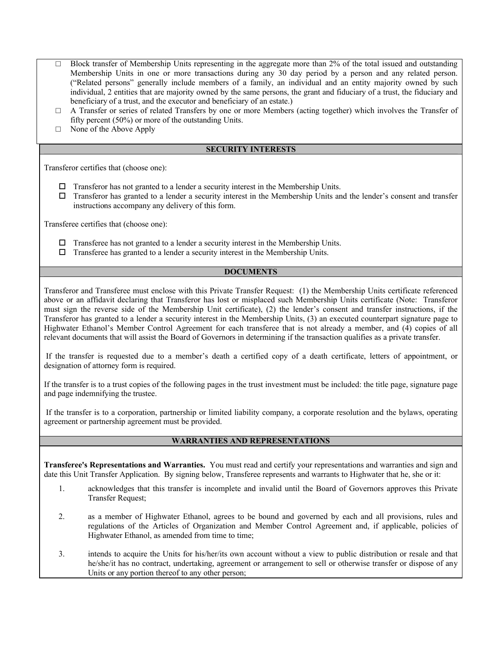- $\Box$  Block transfer of Membership Units representing in the aggregate more than 2% of the total issued and outstanding Membership Units in one or more transactions during any 30 day period by a person and any related person. ("Related persons" generally include members of a family, an individual and an entity majority owned by such individual, 2 entities that are majority owned by the same persons, the grant and fiduciary of a trust, the fiduciary and beneficiary of a trust, and the executor and beneficiary of an estate.)
- □ A Transfer or series of related Transfers by one or more Members (acting together) which involves the Transfer of fifty percent (50%) or more of the outstanding Units.
- □ None of the Above Apply

### **SECURITY INTERESTS**

Transferor certifies that (choose one):

- $\Box$  Transferor has not granted to a lender a security interest in the Membership Units.
- $\Box$  Transferor has granted to a lender a security interest in the Membership Units and the lender's consent and transfer instructions accompany any delivery of this form.

Transferee certifies that (choose one):

- $\Box$  Transferee has not granted to a lender a security interest in the Membership Units.
- $\Box$  Transferee has granted to a lender a security interest in the Membership Units.

## **DOCUMENTS**

Transferor and Transferee must enclose with this Private Transfer Request: (1) the Membership Units certificate referenced above or an affidavit declaring that Transferor has lost or misplaced such Membership Units certificate (Note: Transferor must sign the reverse side of the Membership Unit certificate), (2) the lender's consent and transfer instructions, if the Transferor has granted to a lender a security interest in the Membership Units, (3) an executed counterpart signature page to Highwater Ethanol's Member Control Agreement for each transferee that is not already a member, and (4) copies of all relevant documents that will assist the Board of Governors in determining if the transaction qualifies as a private transfer.

If the transfer is requested due to a member's death a certified copy of a death certificate, letters of appointment, or designation of attorney form is required.

If the transfer is to a trust copies of the following pages in the trust investment must be included: the title page, signature page and page indemnifying the trustee.

If the transfer is to a corporation, partnership or limited liability company, a corporate resolution and the bylaws, operating agreement or partnership agreement must be provided.

### **WARRANTIES AND REPRESENTATIONS**

**Transferee's Representations and Warranties.** You must read and certify your representations and warranties and sign and date this Unit Transfer Application. By signing below, Transferee represents and warrants to Highwater that he, she or it:

- 1. acknowledges that this transfer is incomplete and invalid until the Board of Governors approves this Private Transfer Request;
- 2. as a member of Highwater Ethanol, agrees to be bound and governed by each and all provisions, rules and regulations of the Articles of Organization and Member Control Agreement and, if applicable, policies of Highwater Ethanol, as amended from time to time;
- 3. intends to acquire the Units for his/her/its own account without a view to public distribution or resale and that he/she/it has no contract, undertaking, agreement or arrangement to sell or otherwise transfer or dispose of any Units or any portion thereof to any other person;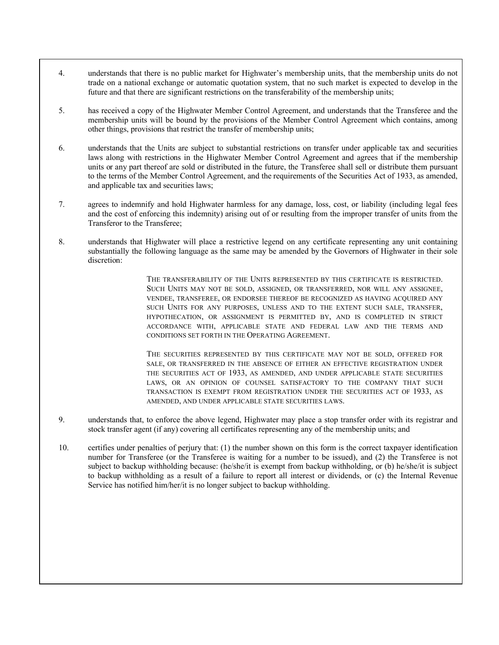- 4. understands that there is no public market for Highwater's membership units, that the membership units do not trade on a national exchange or automatic quotation system, that no such market is expected to develop in the future and that there are significant restrictions on the transferability of the membership units;
- 5. has received a copy of the Highwater Member Control Agreement, and understands that the Transferee and the membership units will be bound by the provisions of the Member Control Agreement which contains, among other things, provisions that restrict the transfer of membership units;
- 6. understands that the Units are subject to substantial restrictions on transfer under applicable tax and securities laws along with restrictions in the Highwater Member Control Agreement and agrees that if the membership units or any part thereof are sold or distributed in the future, the Transferee shall sell or distribute them pursuant to the terms of the Member Control Agreement, and the requirements of the Securities Act of 1933, as amended, and applicable tax and securities laws;
- 7. agrees to indemnify and hold Highwater harmless for any damage, loss, cost, or liability (including legal fees and the cost of enforcing this indemnity) arising out of or resulting from the improper transfer of units from the Transferor to the Transferee;
- 8. understands that Highwater will place a restrictive legend on any certificate representing any unit containing substantially the following language as the same may be amended by the Governors of Highwater in their sole discretion:

THE TRANSFERABILITY OF THE UNITS REPRESENTED BY THIS CERTIFICATE IS RESTRICTED. SUCH UNITS MAY NOT BE SOLD, ASSIGNED, OR TRANSFERRED, NOR WILL ANY ASSIGNEE, VENDEE, TRANSFEREE, OR ENDORSEE THEREOF BE RECOGNIZED AS HAVING ACQUIRED ANY SUCH UNITS FOR ANY PURPOSES, UNLESS AND TO THE EXTENT SUCH SALE, TRANSFER, HYPOTHECATION, OR ASSIGNMENT IS PERMITTED BY, AND IS COMPLETED IN STRICT ACCORDANCE WITH, APPLICABLE STATE AND FEDERAL LAW AND THE TERMS AND CONDITIONS SET FORTH IN THE OPERATING AGREEMENT.

THE SECURITIES REPRESENTED BY THIS CERTIFICATE MAY NOT BE SOLD, OFFERED FOR SALE, OR TRANSFERRED IN THE ABSENCE OF EITHER AN EFFECTIVE REGISTRATION UNDER THE SECURITIES ACT OF 1933, AS AMENDED, AND UNDER APPLICABLE STATE SECURITIES LAWS, OR AN OPINION OF COUNSEL SATISFACTORY TO THE COMPANY THAT SUCH TRANSACTION IS EXEMPT FROM REGISTRATION UNDER THE SECURITIES ACT OF 1933, AS AMENDED, AND UNDER APPLICABLE STATE SECURITIES LAWS.

- 9. understands that, to enforce the above legend, Highwater may place a stop transfer order with its registrar and stock transfer agent (if any) covering all certificates representing any of the membership units; and
- 10. certifies under penalties of perjury that: (1) the number shown on this form is the correct taxpayer identification number for Transferee (or the Transferee is waiting for a number to be issued), and (2) the Transferee is not subject to backup withholding because: (he/she/it is exempt from backup withholding, or (b) he/she/it is subject to backup withholding as a result of a failure to report all interest or dividends, or (c) the Internal Revenue Service has notified him/her/it is no longer subject to backup withholding.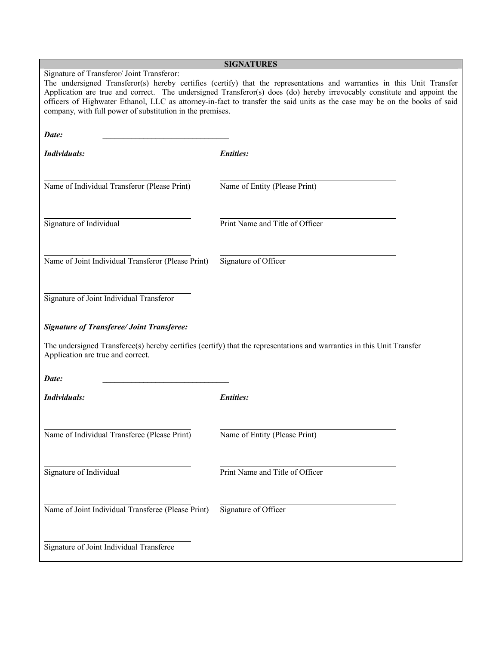| <b>SIGNATURES</b>                                                                                                                                                                                                                                                                                                                                                                                                                                                                         |                                 |  |  |  |
|-------------------------------------------------------------------------------------------------------------------------------------------------------------------------------------------------------------------------------------------------------------------------------------------------------------------------------------------------------------------------------------------------------------------------------------------------------------------------------------------|---------------------------------|--|--|--|
| Signature of Transferor/ Joint Transferor:<br>The undersigned Transferor(s) hereby certifies (certify) that the representations and warranties in this Unit Transfer<br>Application are true and correct. The undersigned Transferor(s) does (do) hereby irrevocably constitute and appoint the<br>officers of Highwater Ethanol, LLC as attorney-in-fact to transfer the said units as the case may be on the books of said<br>company, with full power of substitution in the premises. |                                 |  |  |  |
| Date:                                                                                                                                                                                                                                                                                                                                                                                                                                                                                     |                                 |  |  |  |
| Individuals:                                                                                                                                                                                                                                                                                                                                                                                                                                                                              | <b>Entities:</b>                |  |  |  |
| Name of Individual Transferor (Please Print)                                                                                                                                                                                                                                                                                                                                                                                                                                              | Name of Entity (Please Print)   |  |  |  |
| Signature of Individual                                                                                                                                                                                                                                                                                                                                                                                                                                                                   | Print Name and Title of Officer |  |  |  |
| Name of Joint Individual Transferor (Please Print)                                                                                                                                                                                                                                                                                                                                                                                                                                        | Signature of Officer            |  |  |  |
| Signature of Joint Individual Transferor                                                                                                                                                                                                                                                                                                                                                                                                                                                  |                                 |  |  |  |
| <b>Signature of Transferee/ Joint Transferee:</b>                                                                                                                                                                                                                                                                                                                                                                                                                                         |                                 |  |  |  |
| The undersigned Transferee(s) hereby certifies (certify) that the representations and warranties in this Unit Transfer<br>Application are true and correct.                                                                                                                                                                                                                                                                                                                               |                                 |  |  |  |
| Date:                                                                                                                                                                                                                                                                                                                                                                                                                                                                                     |                                 |  |  |  |
| Individuals:                                                                                                                                                                                                                                                                                                                                                                                                                                                                              | <b>Entities:</b>                |  |  |  |
| Name of Individual Transferee (Please Print)                                                                                                                                                                                                                                                                                                                                                                                                                                              | Name of Entity (Please Print)   |  |  |  |
| Signature of Individual                                                                                                                                                                                                                                                                                                                                                                                                                                                                   | Print Name and Title of Officer |  |  |  |
| Name of Joint Individual Transferee (Please Print)                                                                                                                                                                                                                                                                                                                                                                                                                                        | Signature of Officer            |  |  |  |
| Signature of Joint Individual Transferee                                                                                                                                                                                                                                                                                                                                                                                                                                                  |                                 |  |  |  |